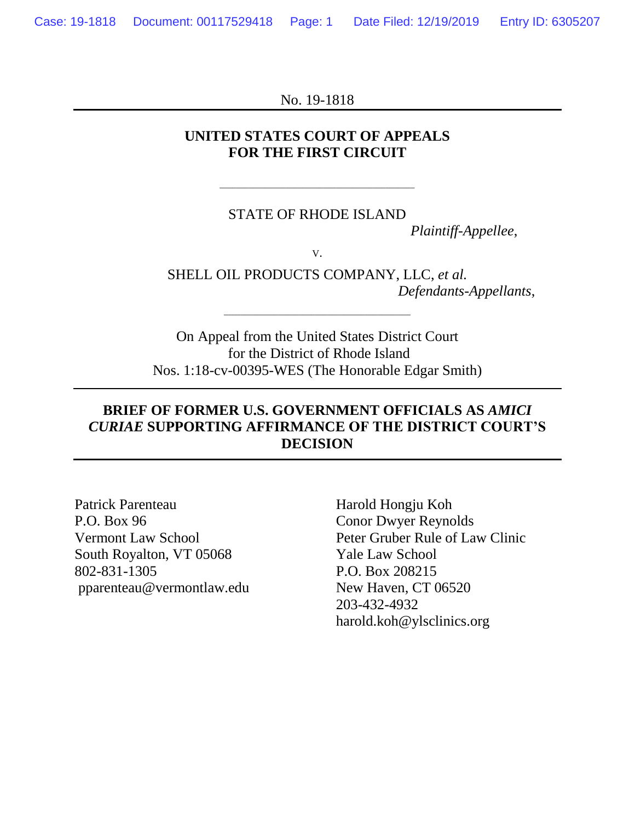No. 19-1818

### **UNITED STATES COURT OF APPEALS FOR THE FIRST CIRCUIT**

#### STATE OF RHODE ISLAND

\_\_\_\_\_\_\_\_\_\_\_\_\_\_\_\_\_\_\_\_\_\_\_\_\_\_\_\_\_\_\_\_\_\_\_\_\_\_\_\_\_\_\_\_\_\_\_

*Plaintiff-Appellee*,

V.

SHELL OIL PRODUCTS COMPANY, LLC, *et al. Defendants-Appellants*,

On Appeal from the United States District Court for the District of Rhode Island Nos. 1:18-cv-00395-WES (The Honorable Edgar Smith)

\_\_\_\_\_\_\_\_\_\_\_\_\_\_\_\_\_\_\_\_\_\_\_\_\_\_\_\_\_\_\_\_\_\_\_\_\_\_\_\_\_\_\_\_\_

## **BRIEF OF FORMER U.S. GOVERNMENT OFFICIALS AS** *AMICI CURIAE* **SUPPORTING AFFIRMANCE OF THE DISTRICT COURT'S DECISION**

Patrick Parenteau Harold Hongju Koh P.O. Box 96 Conor Dwyer Reynolds South Royalton, VT 05068 Yale Law School 802-831-1305 P.O. Box 208215 pparenteau@vermontlaw.edu New Haven, CT 06520

Vermont Law School Peter Gruber Rule of Law Clinic 203-432-4932 harold.koh@ylsclinics.org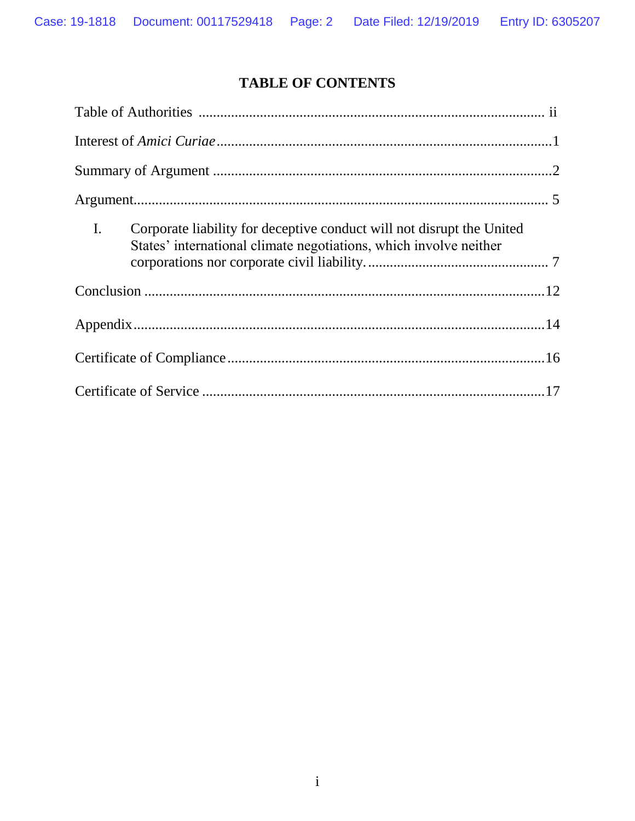# **TABLE OF CONTENTS**

| $\mathbf{I}$ .<br>Corporate liability for deceptive conduct will not disrupt the United<br>States' international climate negotiations, which involve neither |
|--------------------------------------------------------------------------------------------------------------------------------------------------------------|
|                                                                                                                                                              |
|                                                                                                                                                              |
|                                                                                                                                                              |
|                                                                                                                                                              |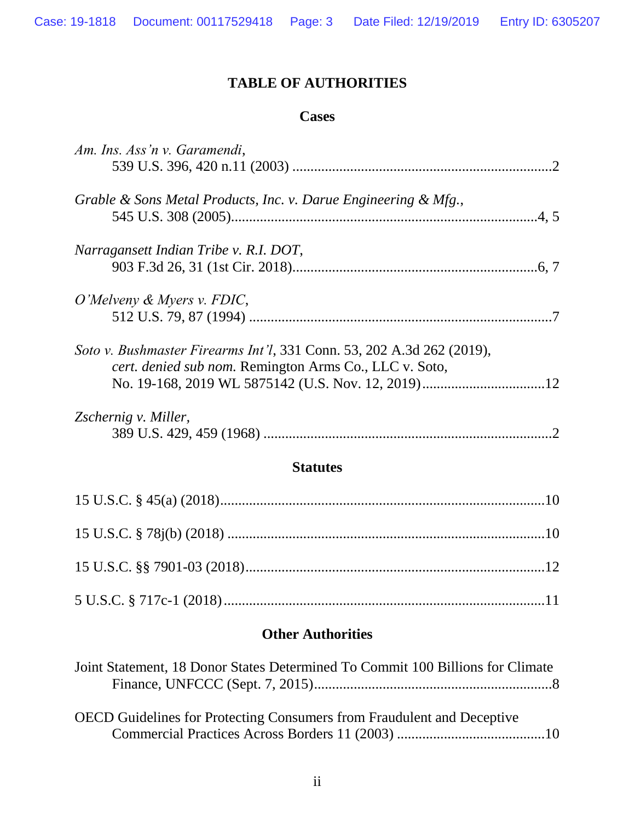## **TABLE OF AUTHORITIES**

### **Cases**

| Joint Statement, 18 Donor States Determined To Commit 100 Billions for Climate |  |
|--------------------------------------------------------------------------------|--|
|                                                                                |  |
|                                                                                |  |
| <b>OECD</b> Guidelines for Protecting Consumers from Fraudulent and Deceptive  |  |
|                                                                                |  |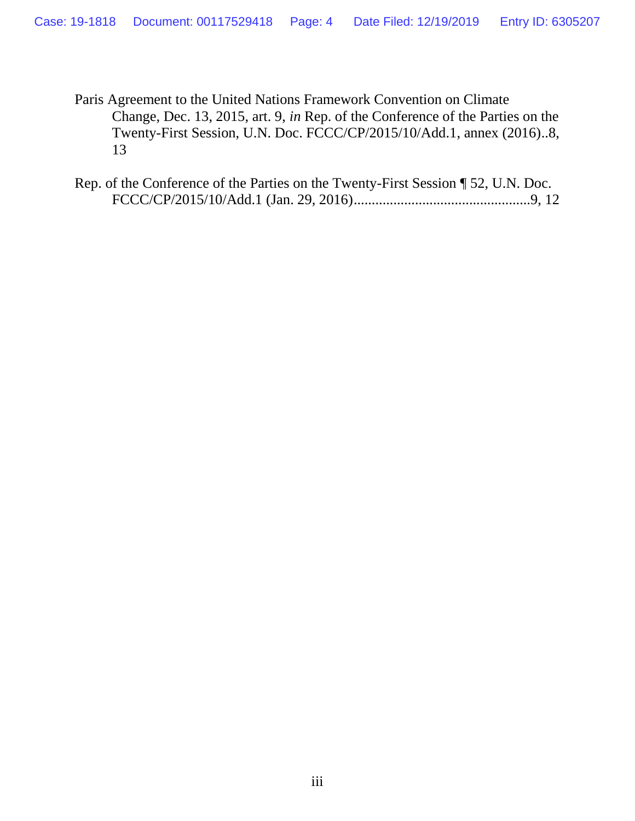Paris Agreement to the United Nations Framework Convention on Climate Change, Dec. 13, 2015, art. 9, *in* Rep. of the Conference of the Parties on the Twenty-First Session, U.N. Doc. FCCC/CP/2015/10/Add.1, annex (2016)..8, 13

Rep. of the Conference of the Parties on the Twenty-First Session ¶ 52, U.N. Doc. FCCC/CP/2015/10/Add.1 (Jan. 29, 2016).................................................9, 12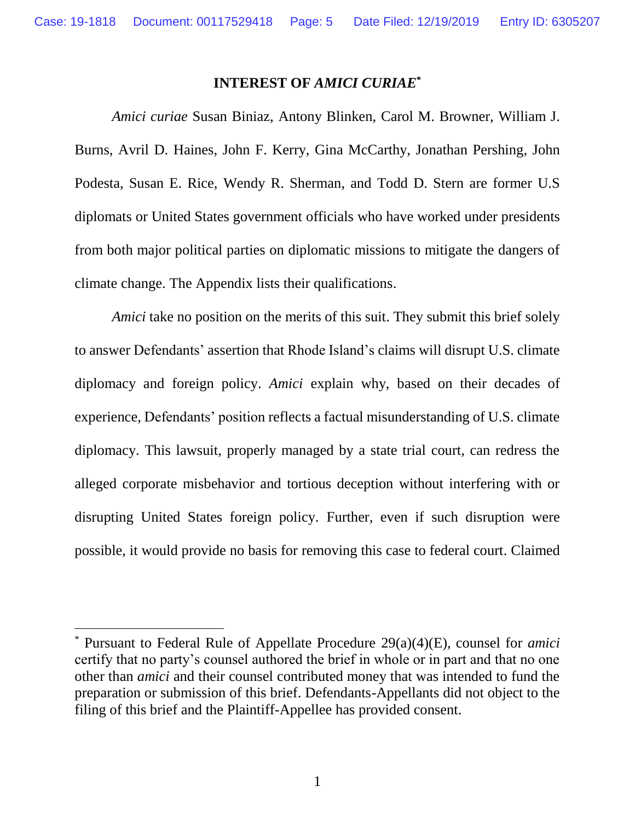#### **INTEREST OF** *AMICI CURIAE***\***

*Amici curiae* Susan Biniaz, Antony Blinken, Carol M. Browner, William J. Burns, Avril D. Haines, John F. Kerry, Gina McCarthy, Jonathan Pershing, John Podesta, Susan E. Rice, Wendy R. Sherman, and Todd D. Stern are former U.S diplomats or United States government officials who have worked under presidents from both major political parties on diplomatic missions to mitigate the dangers of climate change. The Appendix lists their qualifications.

*Amici* take no position on the merits of this suit. They submit this brief solely to answer Defendants' assertion that Rhode Island's claims will disrupt U.S. climate diplomacy and foreign policy. *Amici* explain why, based on their decades of experience, Defendants' position reflects a factual misunderstanding of U.S. climate diplomacy. This lawsuit, properly managed by a state trial court, can redress the alleged corporate misbehavior and tortious deception without interfering with or disrupting United States foreign policy. Further, even if such disruption were possible, it would provide no basis for removing this case to federal court. Claimed

<sup>\*</sup> Pursuant to Federal Rule of Appellate Procedure 29(a)(4)(E), counsel for *amici* certify that no party's counsel authored the brief in whole or in part and that no one other than *amici* and their counsel contributed money that was intended to fund the preparation or submission of this brief. Defendants-Appellants did not object to the filing of this brief and the Plaintiff-Appellee has provided consent.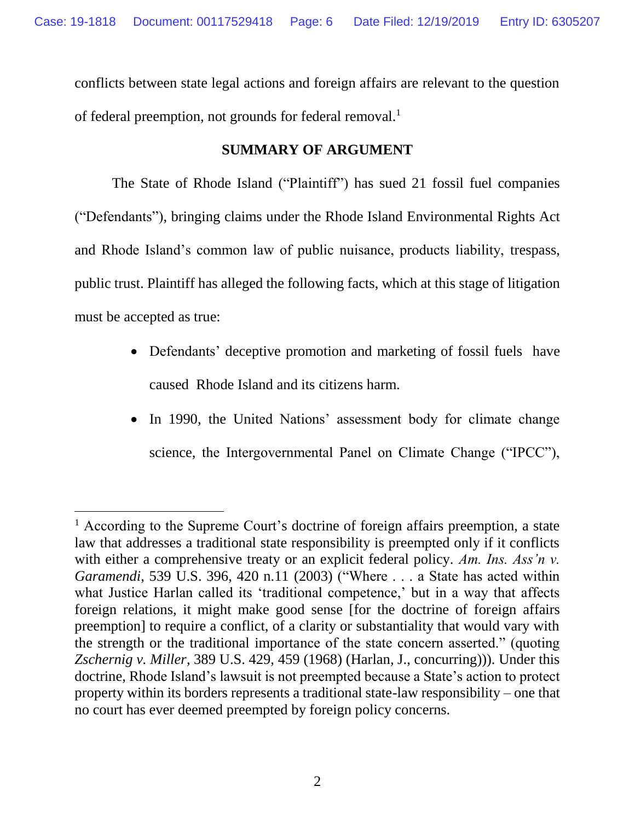conflicts between state legal actions and foreign affairs are relevant to the question of federal preemption, not grounds for federal removal.<sup>1</sup>

## **SUMMARY OF ARGUMENT**

The State of Rhode Island ("Plaintiff") has sued 21 fossil fuel companies ("Defendants"), bringing claims under the Rhode Island Environmental Rights Act and Rhode Island's common law of public nuisance, products liability, trespass, public trust. Plaintiff has alleged the following facts, which at this stage of litigation must be accepted as true:

- Defendants' deceptive promotion and marketing of fossil fuels have caused Rhode Island and its citizens harm.
- In 1990, the United Nations' assessment body for climate change science, the Intergovernmental Panel on Climate Change ("IPCC"),

<sup>&</sup>lt;sup>1</sup> According to the Supreme Court's doctrine of foreign affairs preemption, a state law that addresses a traditional state responsibility is preempted only if it conflicts with either a comprehensive treaty or an explicit federal policy. *Am. Ins. Ass'n v. Garamendi*, 539 U.S. 396, 420 n.11 (2003) ("Where . . . a State has acted within what Justice Harlan called its 'traditional competence,' but in a way that affects foreign relations, it might make good sense [for the doctrine of foreign affairs preemption] to require a conflict, of a clarity or substantiality that would vary with the strength or the traditional importance of the state concern asserted." (quoting *Zschernig v. Miller*, 389 U.S. 429, 459 (1968) (Harlan, J., concurring))). Under this doctrine, Rhode Island's lawsuit is not preempted because a State's action to protect property within its borders represents a traditional state-law responsibility – one that no court has ever deemed preempted by foreign policy concerns.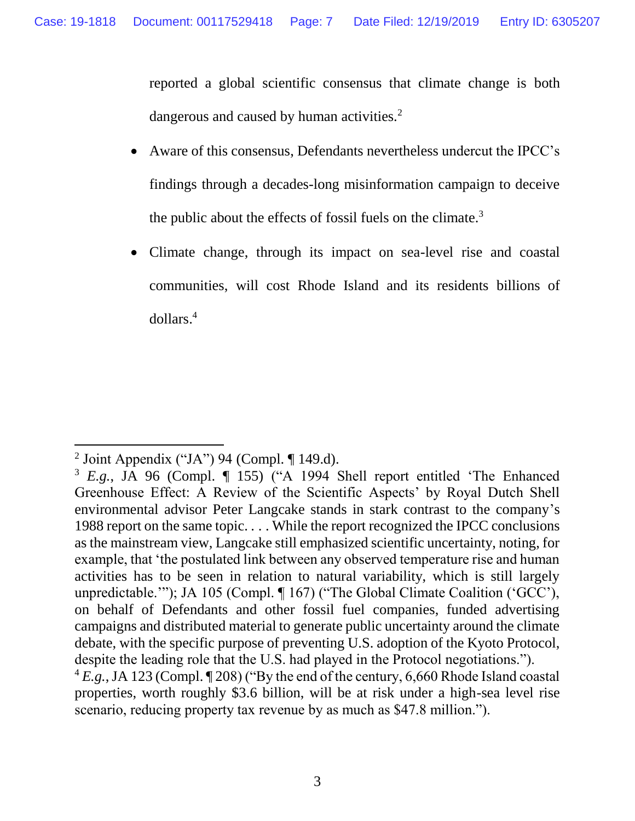reported a global scientific consensus that climate change is both dangerous and caused by human activities.<sup>2</sup>

- Aware of this consensus, Defendants nevertheless undercut the IPCC's findings through a decades-long misinformation campaign to deceive the public about the effects of fossil fuels on the climate. $3$
- Climate change, through its impact on sea-level rise and coastal communities, will cost Rhode Island and its residents billions of dollars. 4

<sup>&</sup>lt;sup>2</sup> Joint Appendix ("JA") 94 (Compl. ¶ 149.d).

<sup>3</sup> *E.g.*, JA 96 (Compl. ¶ 155) ("A 1994 Shell report entitled 'The Enhanced Greenhouse Effect: A Review of the Scientific Aspects' by Royal Dutch Shell environmental advisor Peter Langcake stands in stark contrast to the company's 1988 report on the same topic. . . . While the report recognized the IPCC conclusions as the mainstream view, Langcake still emphasized scientific uncertainty, noting, for example, that 'the postulated link between any observed temperature rise and human activities has to be seen in relation to natural variability, which is still largely unpredictable.""); JA 105 (Compl. ¶ 167) ("The Global Climate Coalition ('GCC'), on behalf of Defendants and other fossil fuel companies, funded advertising campaigns and distributed material to generate public uncertainty around the climate debate, with the specific purpose of preventing U.S. adoption of the Kyoto Protocol, despite the leading role that the U.S. had played in the Protocol negotiations."). <sup>4</sup> *E.g.*,JA 123 (Compl. ¶ 208) ("By the end of the century, 6,660 Rhode Island coastal

properties, worth roughly \$3.6 billion, will be at risk under a high-sea level rise scenario, reducing property tax revenue by as much as \$47.8 million.").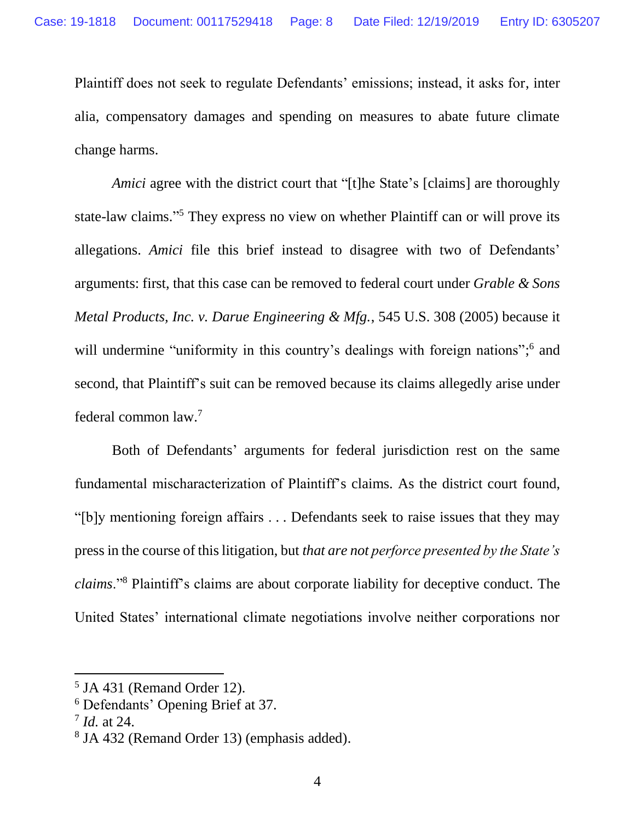Plaintiff does not seek to regulate Defendants' emissions; instead, it asks for, inter alia, compensatory damages and spending on measures to abate future climate change harms.

*Amici* agree with the district court that "[t]he State's [claims] are thoroughly state-law claims." <sup>5</sup> They express no view on whether Plaintiff can or will prove its allegations. *Amici* file this brief instead to disagree with two of Defendants' arguments: first, that this case can be removed to federal court under *Grable & Sons Metal Products, Inc. v. Darue Engineering & Mfg.*, 545 U.S. 308 (2005) because it will undermine "uniformity in this country's dealings with foreign nations";<sup>6</sup> and second, that Plaintiff's suit can be removed because its claims allegedly arise under federal common law. 7

Both of Defendants' arguments for federal jurisdiction rest on the same fundamental mischaracterization of Plaintiff's claims. As the district court found, "[b]y mentioning foreign affairs . . . Defendants seek to raise issues that they may press in the course of this litigation, but *that are not perforce presented by the State's claims*."<sup>8</sup> Plaintiff's claims are about corporate liability for deceptive conduct. The United States' international climate negotiations involve neither corporations nor

<sup>5</sup> JA 431 (Remand Order 12).

<sup>6</sup> Defendants' Opening Brief at 37.

<sup>7</sup> *Id.* at 24.

<sup>8</sup> JA 432 (Remand Order 13) (emphasis added).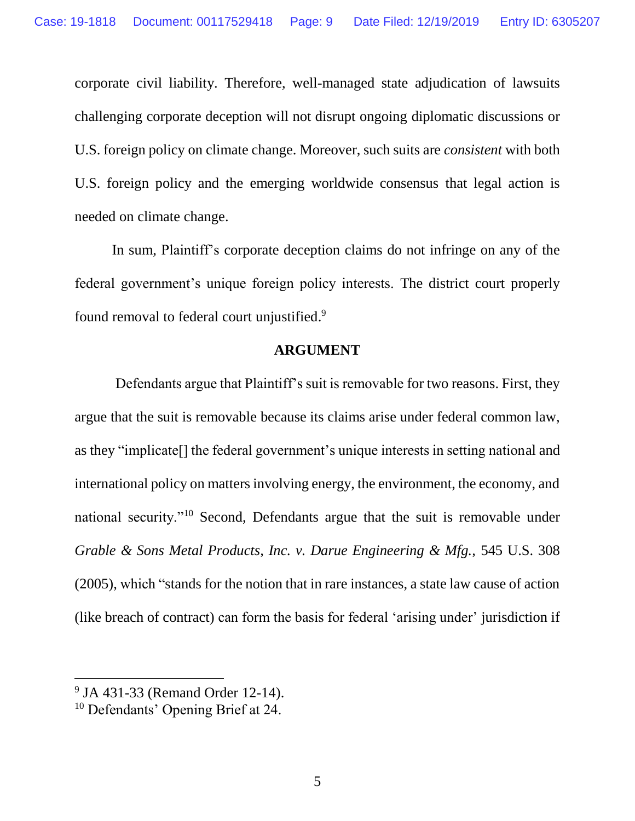corporate civil liability. Therefore, well-managed state adjudication of lawsuits challenging corporate deception will not disrupt ongoing diplomatic discussions or U.S. foreign policy on climate change. Moreover, such suits are *consistent* with both U.S. foreign policy and the emerging worldwide consensus that legal action is needed on climate change.

In sum, Plaintiff's corporate deception claims do not infringe on any of the federal government's unique foreign policy interests. The district court properly found removal to federal court unjustified.<sup>9</sup>

### **ARGUMENT**

Defendants argue that Plaintiff's suit is removable for two reasons. First, they argue that the suit is removable because its claims arise under federal common law, as they "implicate[] the federal government's unique interests in setting national and international policy on matters involving energy, the environment, the economy, and national security."<sup>10</sup> Second, Defendants argue that the suit is removable under *Grable & Sons Metal Products, Inc. v. Darue Engineering & Mfg.,* 545 U.S. 308 (2005), which "stands for the notion that in rare instances, a state law cause of action (like breach of contract) can form the basis for federal 'arising under' jurisdiction if

<sup>&</sup>lt;sup>9</sup> JA 431-33 (Remand Order 12-14).

<sup>&</sup>lt;sup>10</sup> Defendants' Opening Brief at 24.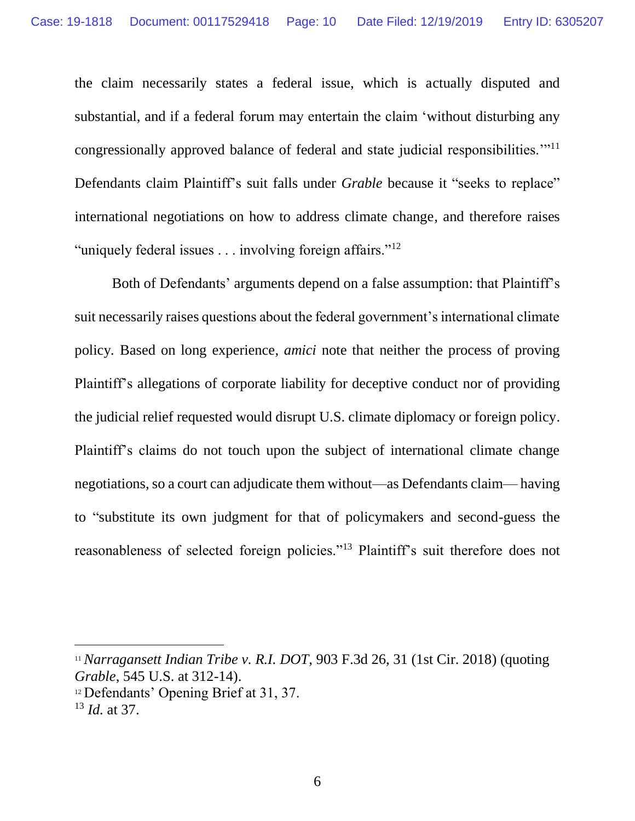the claim necessarily states a federal issue, which is actually disputed and substantial, and if a federal forum may entertain the claim 'without disturbing any congressionally approved balance of federal and state judicial responsibilities.'"<sup>11</sup> Defendants claim Plaintiff's suit falls under *Grable* because it "seeks to replace" international negotiations on how to address climate change, and therefore raises "uniquely federal issues . . . involving foreign affairs."<sup>12</sup>

Both of Defendants' arguments depend on a false assumption: that Plaintiff's suit necessarily raises questions about the federal government's international climate policy*.* Based on long experience, *amici* note that neither the process of proving Plaintiff's allegations of corporate liability for deceptive conduct nor of providing the judicial relief requested would disrupt U.S. climate diplomacy or foreign policy. Plaintiff's claims do not touch upon the subject of international climate change negotiations, so a court can adjudicate them without—as Defendants claim— having to "substitute its own judgment for that of policymakers and second-guess the reasonableness of selected foreign policies."<sup>13</sup> Plaintiff's suit therefore does not

<sup>11</sup> *Narragansett Indian Tribe v. R.I. DOT*, 903 F.3d 26, 31 (1st Cir. 2018) (quoting *Grable*, 545 U.S. at 312-14).

<sup>&</sup>lt;sup>12</sup> Defendants' Opening Brief at 31, 37.

<sup>13</sup> *Id.* at 37.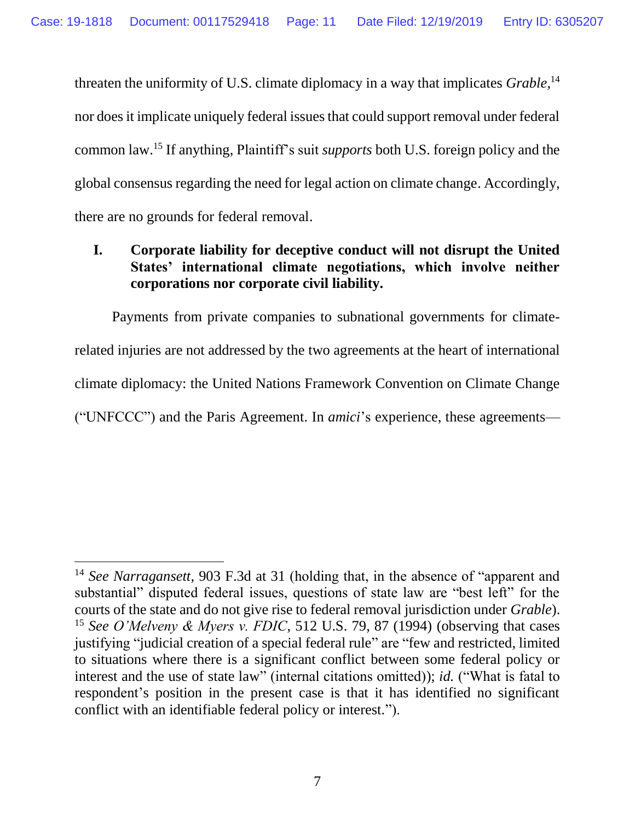threaten the uniformity of U.S. climate diplomacy in a way that implicates *Grable*, 14 nor does it implicate uniquely federal issues that could support removal under federal common law.<sup>15</sup> If anything, Plaintiff's suit *supports* both U.S. foreign policy and the global consensus regarding the need for legal action on climate change. Accordingly, there are no grounds for federal removal.

## **I. Corporate liability for deceptive conduct will not disrupt the United States' international climate negotiations, which involve neither corporations nor corporate civil liability.**

Payments from private companies to subnational governments for climaterelated injuries are not addressed by the two agreements at the heart of international climate diplomacy: the United Nations Framework Convention on Climate Change ("UNFCCC") and the Paris Agreement. In *amici*'s experience, these agreements—

<sup>14</sup> *See Narragansett*, 903 F.3d at 31 (holding that, in the absence of "apparent and substantial" disputed federal issues, questions of state law are "best left" for the courts of the state and do not give rise to federal removal jurisdiction under *Grable*). <sup>15</sup> *See O'Melveny & Myers v. FDIC*, 512 U.S. 79, 87 (1994) (observing that cases justifying "judicial creation of a special federal rule" are "few and restricted, limited to situations where there is a significant conflict between some federal policy or interest and the use of state law" (internal citations omitted)); *id.* ("What is fatal to respondent's position in the present case is that it has identified no significant conflict with an identifiable federal policy or interest.").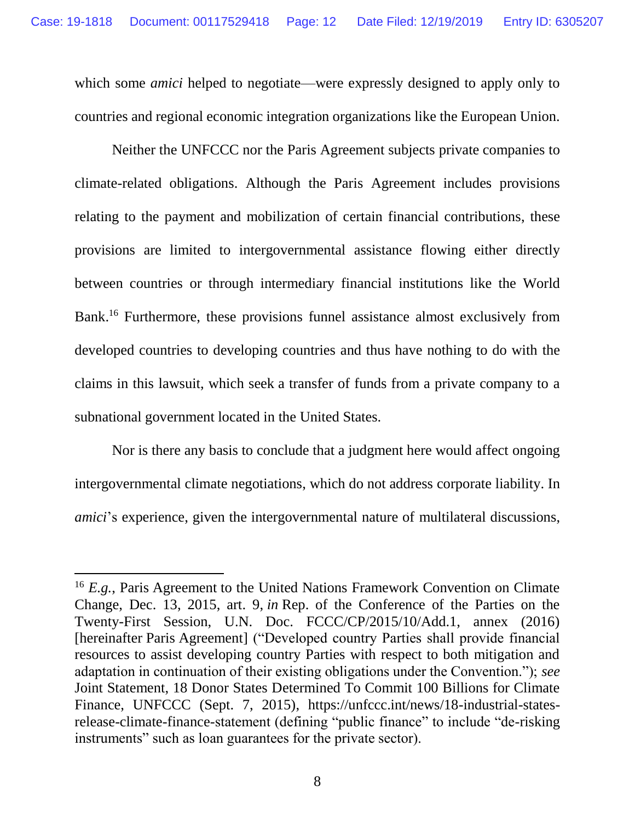which some *amici* helped to negotiate—were expressly designed to apply only to countries and regional economic integration organizations like the European Union.

Neither the UNFCCC nor the Paris Agreement subjects private companies to climate-related obligations. Although the Paris Agreement includes provisions relating to the payment and mobilization of certain financial contributions, these provisions are limited to intergovernmental assistance flowing either directly between countries or through intermediary financial institutions like the World Bank.<sup>16</sup> Furthermore, these provisions funnel assistance almost exclusively from developed countries to developing countries and thus have nothing to do with the claims in this lawsuit, which seek a transfer of funds from a private company to a subnational government located in the United States.

Nor is there any basis to conclude that a judgment here would affect ongoing intergovernmental climate negotiations, which do not address corporate liability. In *amici*'s experience, given the intergovernmental nature of multilateral discussions,

<sup>16</sup> *E.g.*, Paris Agreement to the United Nations Framework Convention on Climate Change, Dec. 13, 2015, art. 9, *in* Rep. of the Conference of the Parties on the Twenty-First Session, U.N. Doc. FCCC/CP/2015/10/Add.1, annex (2016) [hereinafter Paris Agreement] ("Developed country Parties shall provide financial resources to assist developing country Parties with respect to both mitigation and adaptation in continuation of their existing obligations under the Convention."); *see* Joint Statement, 18 Donor States Determined To Commit 100 Billions for Climate Finance, UNFCCC (Sept. 7, 2015), https://unfccc.int/news/18-industrial-statesrelease-climate-finance-statement (defining "public finance" to include "de-risking instruments" such as loan guarantees for the private sector).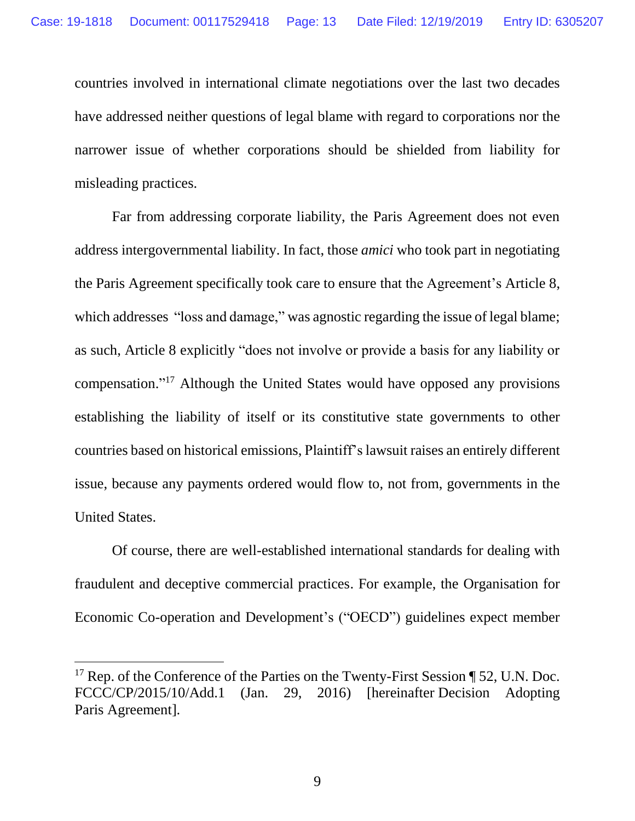countries involved in international climate negotiations over the last two decades have addressed neither questions of legal blame with regard to corporations nor the narrower issue of whether corporations should be shielded from liability for misleading practices.

Far from addressing corporate liability, the Paris Agreement does not even address intergovernmental liability. In fact, those *amici* who took part in negotiating the Paris Agreement specifically took care to ensure that the Agreement's Article 8, which addresses "loss and damage," was agnostic regarding the issue of legal blame; as such, Article 8 explicitly "does not involve or provide a basis for any liability or compensation." <sup>17</sup> Although the United States would have opposed any provisions establishing the liability of itself or its constitutive state governments to other countries based on historical emissions, Plaintiff's lawsuit raises an entirely different issue, because any payments ordered would flow to, not from, governments in the United States.

Of course, there are well-established international standards for dealing with fraudulent and deceptive commercial practices. For example, the Organisation for Economic Co-operation and Development's ("OECD") guidelines expect member

<sup>&</sup>lt;sup>17</sup> Rep. of the Conference of the Parties on the Twenty-First Session ¶ 52, U.N. Doc. FCCC/CP/2015/10/Add.1 (Jan. 29, 2016) [hereinafter Decision Adopting Paris Agreement].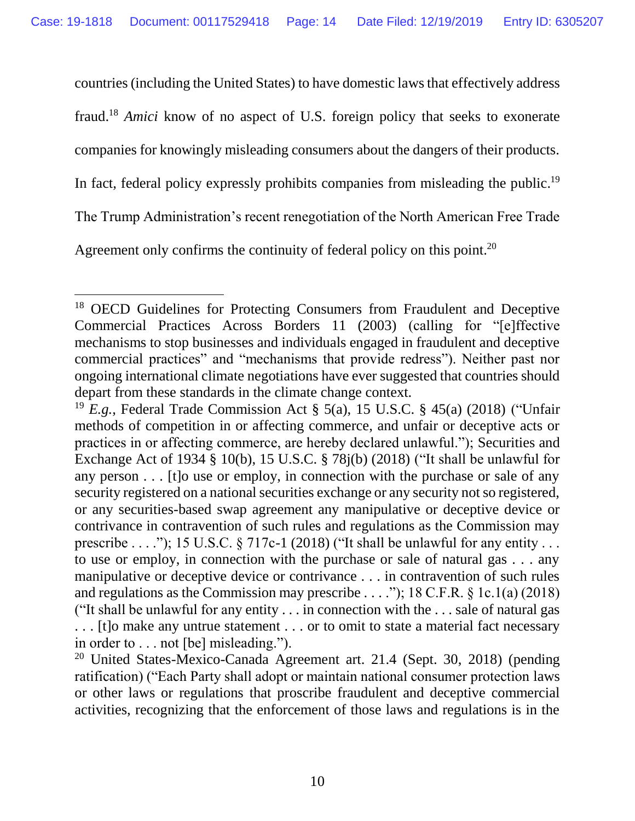countries (including the United States) to have domestic laws that effectively address fraud. <sup>18</sup> *Amici* know of no aspect of U.S. foreign policy that seeks to exonerate companies for knowingly misleading consumers about the dangers of their products. In fact, federal policy expressly prohibits companies from misleading the public.<sup>19</sup> The Trump Administration's recent renegotiation of the North American Free Trade Agreement only confirms the continuity of federal policy on this point.<sup>20</sup>

<sup>&</sup>lt;sup>18</sup> OECD Guidelines for Protecting Consumers from Fraudulent and Deceptive Commercial Practices Across Borders 11 (2003) (calling for "[e]ffective mechanisms to stop businesses and individuals engaged in fraudulent and deceptive commercial practices" and "mechanisms that provide redress"). Neither past nor ongoing international climate negotiations have ever suggested that countries should depart from these standards in the climate change context.

<sup>19</sup> *E.g.*, Federal Trade Commission Act § 5(a), 15 U.S.C. § 45(a) (2018) ("Unfair methods of competition in or affecting commerce, and unfair or deceptive acts or practices in or affecting commerce, are hereby declared unlawful."); Securities and Exchange Act of 1934 § 10(b), 15 U.S.C. § 78j(b) (2018) ("It shall be unlawful for any person . . . [t]o use or employ, in connection with the purchase or sale of any security registered on a national securities exchange or any security not so registered, or any securities-based swap agreement any manipulative or deceptive device or contrivance in contravention of such rules and regulations as the Commission may prescribe  $\dots$ ."); 15 U.S.C. § 717c-1 (2018) ("It shall be unlawful for any entity  $\dots$ to use or employ, in connection with the purchase or sale of natural gas . . . any manipulative or deceptive device or contrivance . . . in contravention of such rules and regulations as the Commission may prescribe . . . ."); 18 C.F.R.  $\S$  1c.1(a) (2018) ("It shall be unlawful for any entity  $\dots$  in connection with the  $\dots$  sale of natural gas . . . [t]o make any untrue statement . . . or to omit to state a material fact necessary in order to . . . not [be] misleading.").

<sup>&</sup>lt;sup>20</sup> United States-Mexico-Canada Agreement art. 21.4 (Sept. 30, 2018) (pending ratification) ("Each Party shall adopt or maintain national consumer protection laws or other laws or regulations that proscribe fraudulent and deceptive commercial activities, recognizing that the enforcement of those laws and regulations is in the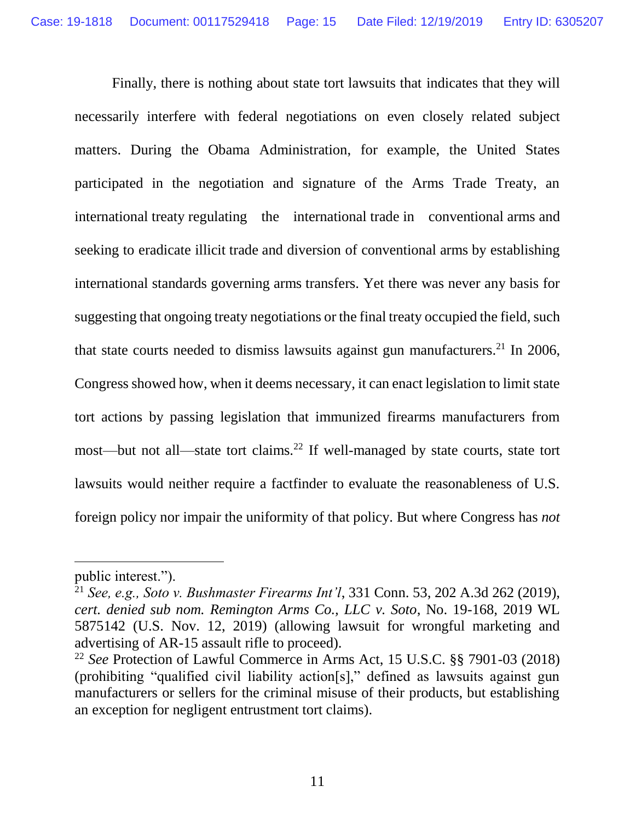Finally, there is nothing about state tort lawsuits that indicates that they will necessarily interfere with federal negotiations on even closely related subject matters. During the Obama Administration, for example, the United States participated in the negotiation and signature of the Arms Trade Treaty, an international treaty regulating the international trade in conventional arms and seeking to eradicate illicit trade and diversion of conventional arms by establishing international standards governing arms transfers. Yet there was never any basis for suggesting that ongoing treaty negotiations or the final treaty occupied the field, such that state courts needed to dismiss lawsuits against gun manufacturers.<sup>21</sup> In 2006, Congress showed how, when it deems necessary, it can enact legislation to limit state tort actions by passing legislation that immunized firearms manufacturers from most—but not all—state tort claims.<sup>22</sup> If well-managed by state courts, state tort lawsuits would neither require a factfinder to evaluate the reasonableness of U.S. foreign policy nor impair the uniformity of that policy. But where Congress has *not*

public interest.").

<sup>21</sup> *See, e.g., Soto v. Bushmaster Firearms Int'l*, 331 Conn. 53, 202 A.3d 262 (2019), *cert. denied sub nom. Remington Arms Co., LLC v. Soto*, No. 19-168, 2019 WL 5875142 (U.S. Nov. 12, 2019) (allowing lawsuit for wrongful marketing and advertising of AR-15 assault rifle to proceed).

<sup>22</sup> *See* Protection of Lawful Commerce in Arms Act, 15 U.S.C. §§ 7901-03 (2018) (prohibiting "qualified civil liability action[s]," defined as lawsuits against gun manufacturers or sellers for the criminal misuse of their products, but establishing an exception for negligent entrustment tort claims).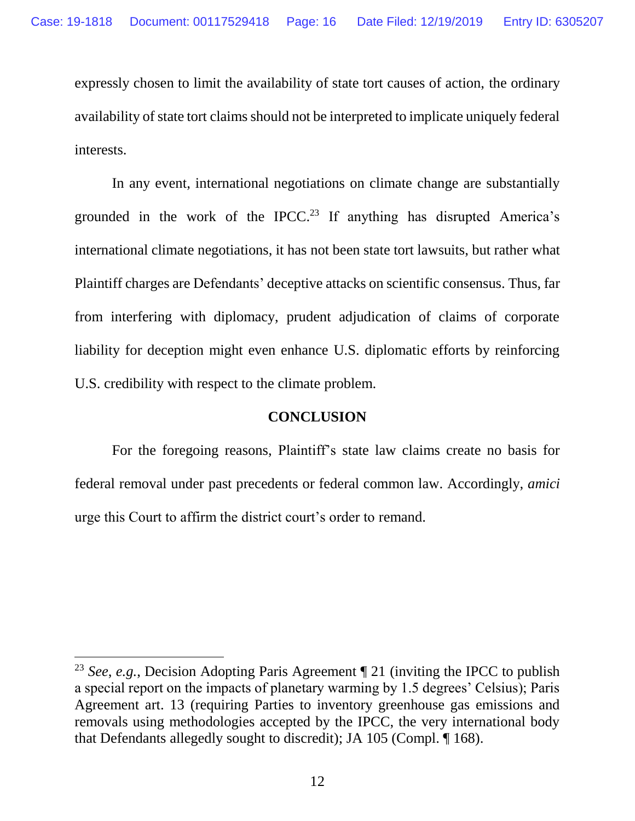expressly chosen to limit the availability of state tort causes of action, the ordinary availability of state tort claims should not be interpreted to implicate uniquely federal interests.

In any event, international negotiations on climate change are substantially grounded in the work of the IPCC. <sup>23</sup> If anything has disrupted America's international climate negotiations, it has not been state tort lawsuits, but rather what Plaintiff charges are Defendants' deceptive attacks on scientific consensus. Thus, far from interfering with diplomacy, prudent adjudication of claims of corporate liability for deception might even enhance U.S. diplomatic efforts by reinforcing U.S. credibility with respect to the climate problem.

#### **CONCLUSION**

For the foregoing reasons, Plaintiff's state law claims create no basis for federal removal under past precedents or federal common law. Accordingly, *amici*  urge this Court to affirm the district court's order to remand.

<sup>23</sup> *See*, *e.g.*, Decision Adopting Paris Agreement ¶ 21 (inviting the IPCC to publish a special report on the impacts of planetary warming by 1.5 degrees' Celsius); Paris Agreement art. 13 (requiring Parties to inventory greenhouse gas emissions and removals using methodologies accepted by the IPCC, the very international body that Defendants allegedly sought to discredit); JA 105 (Compl. ¶ 168).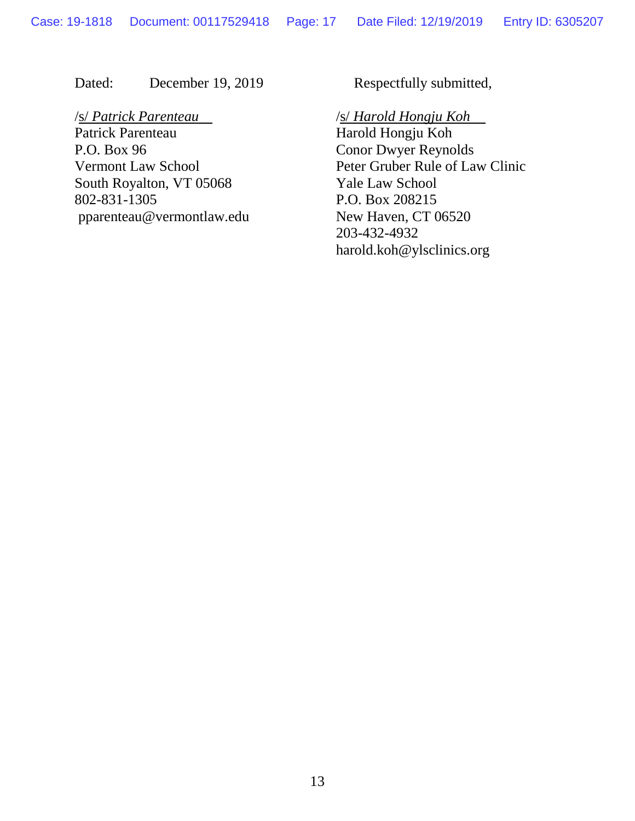Dated: December 19, 2019 Respectfully submitted,

/s/ *Patrick Parenteau* /s/ *Harold Hongju Koh* Patrick Parenteau Harold Hongju Koh P.O. Box 96 Conor Dwyer Reynolds South Royalton, VT 05068 Yale Law School 802-831-1305 P.O. Box 208215 pparenteau@vermontlaw.edu New Haven, CT 06520

Vermont Law School Peter Gruber Rule of Law Clinic 203-432-4932 harold.koh@ylsclinics.org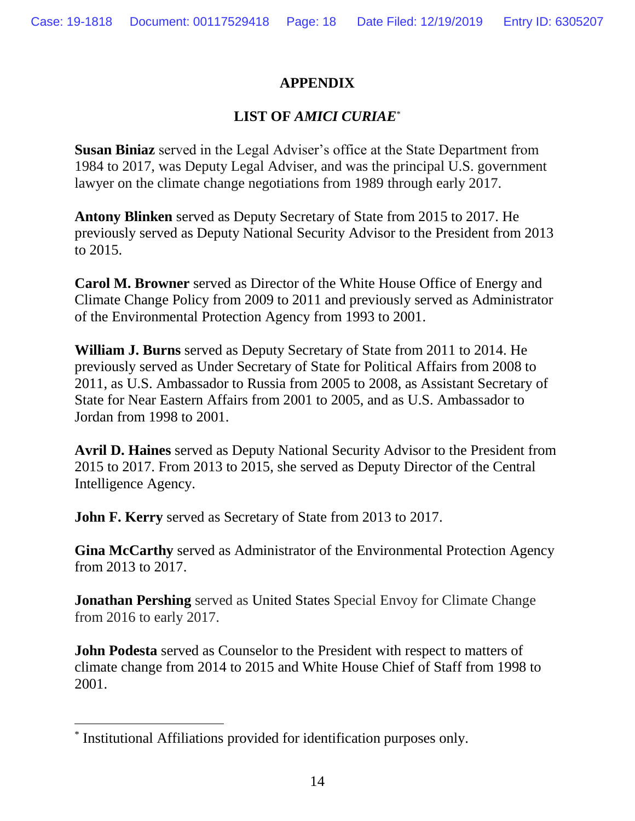## **APPENDIX**

## **LIST OF** *AMICI CURIAE*\*

**Susan Biniaz** served in the Legal Adviser's office at the State Department from 1984 to 2017, was Deputy Legal Adviser, and was the principal U.S. government lawyer on the climate change negotiations from 1989 through early 2017.

**Antony Blinken** served as Deputy Secretary of State from 2015 to 2017. He previously served as Deputy National Security Advisor to the President from 2013 to 2015.

**Carol M. Browner** served as Director of the White House Office of Energy and Climate Change Policy from 2009 to 2011 and previously served as Administrator of the Environmental Protection Agency from 1993 to 2001.

**William J. Burns** served as Deputy Secretary of State from 2011 to 2014. He previously served as Under Secretary of State for Political Affairs from 2008 to 2011, as U.S. Ambassador to Russia from 2005 to 2008, as Assistant Secretary of State for Near Eastern Affairs from 2001 to 2005, and as U.S. Ambassador to Jordan from 1998 to 2001.

**Avril D. Haines** served as Deputy National Security Advisor to the President from 2015 to 2017. From 2013 to 2015, she served as Deputy Director of the Central Intelligence Agency.

**John F. Kerry** served as Secretary of State from 2013 to 2017.

**Gina McCarthy** served as Administrator of the Environmental Protection Agency from 2013 to 2017.

**Jonathan Pershing** served as United States Special Envoy for Climate Change from 2016 to early 2017.

**John Podesta** served as Counselor to the President with respect to matters of climate change from 2014 to 2015 and White House Chief of Staff from 1998 to 2001.

<sup>\*</sup> Institutional Affiliations provided for identification purposes only.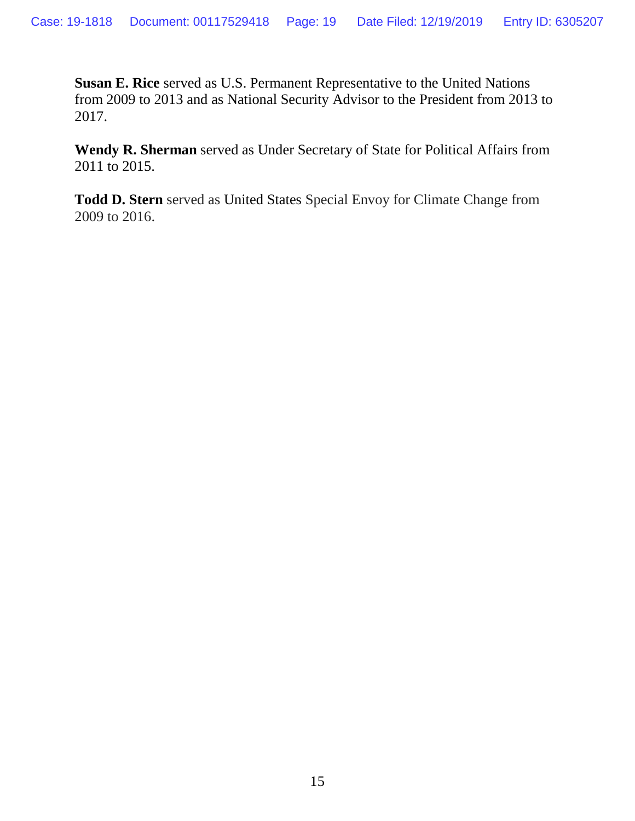**Susan E. Rice** served as U.S. Permanent Representative to the United Nations from 2009 to 2013 and as National Security Advisor to the President from 2013 to 2017.

**Wendy R. Sherman** served as Under Secretary of State for Political Affairs from 2011 to 2015.

**Todd D. Stern** served as United States Special Envoy for Climate Change from 2009 to 2016.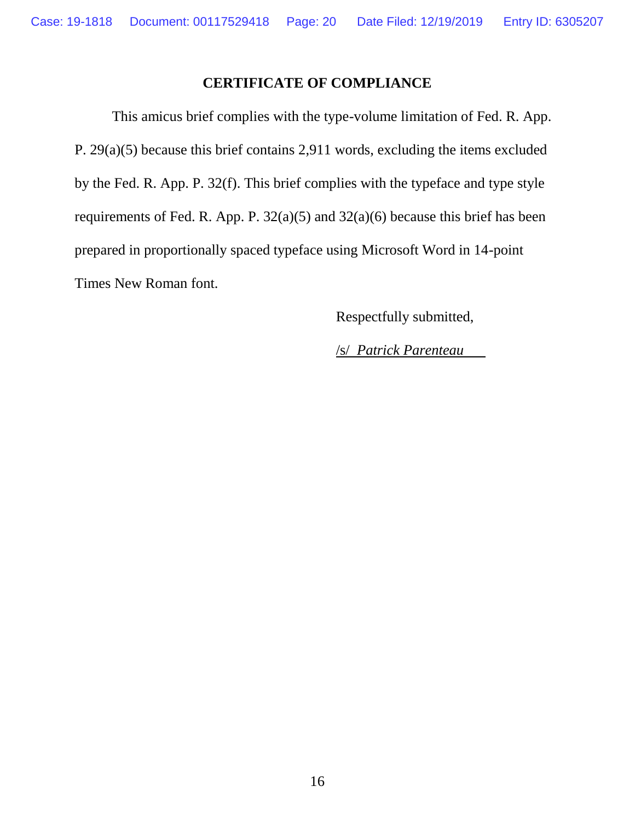## **CERTIFICATE OF COMPLIANCE**

This amicus brief complies with the type-volume limitation of Fed. R. App. P. 29(a)(5) because this brief contains 2,911 words, excluding the items excluded by the Fed. R. App. P. 32(f). This brief complies with the typeface and type style requirements of Fed. R. App. P. 32(a)(5) and 32(a)(6) because this brief has been prepared in proportionally spaced typeface using Microsoft Word in 14-point Times New Roman font.

Respectfully submitted,

/s/ *Patrick Parenteau*